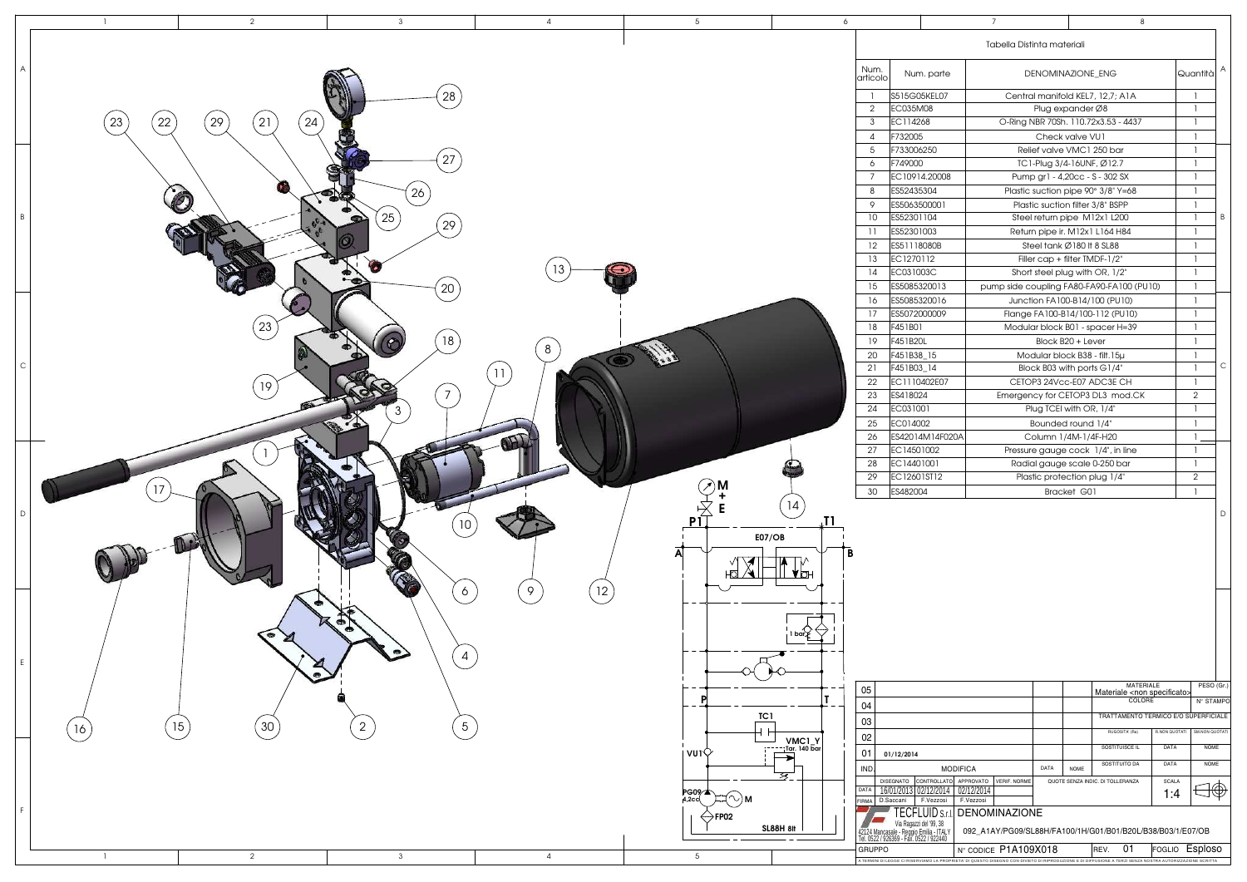| Num.                   |                                                                                                                                                            |                                                                                                 |                                                              |                                           |               |                |   |
|------------------------|------------------------------------------------------------------------------------------------------------------------------------------------------------|-------------------------------------------------------------------------------------------------|--------------------------------------------------------------|-------------------------------------------|---------------|----------------|---|
|                        |                                                                                                                                                            | 7                                                                                               |                                                              | 8                                         |               |                |   |
|                        |                                                                                                                                                            |                                                                                                 | Tabella Distinta materiali                                   |                                           |               |                |   |
| articolo               | Num. parte                                                                                                                                                 | DENOMINAZIONE_ENG                                                                               |                                                              | Quantità                                  | Α             |                |   |
| 1                      | S515G05KEL07                                                                                                                                               |                                                                                                 | Central manifold KEL7, 12,7; A1A                             |                                           |               | 1              |   |
| 2                      | EC035M08                                                                                                                                                   |                                                                                                 |                                                              | 1                                         |               |                |   |
| 3                      | EC114268                                                                                                                                                   |                                                                                                 | Plug expander Ø8<br>O-Ring NBR 70Sh. 110.72x3.53 - 4437      |                                           |               |                |   |
| 4                      | F732005                                                                                                                                                    |                                                                                                 | Check valve VU1                                              |                                           |               |                |   |
| 5                      | F733006250                                                                                                                                                 |                                                                                                 | Relief valve VMC1 250 bar                                    |                                           |               |                |   |
| 6                      | F749000                                                                                                                                                    |                                                                                                 | TC1-Plug 3/4-16UNF, Ø12.7                                    |                                           |               |                |   |
| 7                      | EC10914.20008                                                                                                                                              |                                                                                                 | Pump gr1 - 4,20cc - S - 302 SX                               |                                           |               | 1              | B |
| 8                      | ES52435304                                                                                                                                                 |                                                                                                 | Plastic suction pipe 90° 3/8" Y=68                           |                                           |               | 1              |   |
| 9                      | ES5063500001                                                                                                                                               |                                                                                                 | Plastic suction filter 3/8" BSPP                             |                                           |               | 1              |   |
| 10                     | ES52301104                                                                                                                                                 |                                                                                                 | Steel return pipe M12x1 L200                                 |                                           |               | 1              |   |
| 11                     | ES52301003                                                                                                                                                 |                                                                                                 | Return pipe ir. M12x1 L164 H84                               |                                           |               | 1              |   |
| 12                     | ES51118080B                                                                                                                                                |                                                                                                 | Steel tank Ø180 It 8 SL88                                    |                                           |               | 1              |   |
| 13                     | EC1270112                                                                                                                                                  |                                                                                                 | Filler cap + filter TMDF-1/2"                                |                                           |               | 1              |   |
| 14                     | EC031003C                                                                                                                                                  |                                                                                                 | Short steel plug with OR, 1/2"                               |                                           |               | 1              |   |
| 15                     | ES5085320013                                                                                                                                               |                                                                                                 |                                                              | pump side coupling FA80-FA90-FA100 (PU10) |               | 1              |   |
| 16                     | ES5085320016                                                                                                                                               |                                                                                                 | Junction FA100-B14/100 (PU10)                                |                                           |               | 1              |   |
| 17                     | ES5072000009                                                                                                                                               |                                                                                                 | Flange FA100-B14/100-112 (PU10)                              |                                           |               | 1              |   |
| 18                     | F451B01                                                                                                                                                    |                                                                                                 | Modular block B01 - spacer H=39                              |                                           |               | 1              |   |
| 19                     | F451B20L                                                                                                                                                   |                                                                                                 | Block B20 + Lever                                            |                                           |               | 1              |   |
| 20                     | F451B38_15                                                                                                                                                 |                                                                                                 | Modular block B38 - filt. 15µ                                |                                           |               | 1              |   |
| 21                     | F451B03_14                                                                                                                                                 |                                                                                                 | Block B03 with ports G1/4"                                   |                                           |               | 1              | С |
| 22                     | EC1110402E07                                                                                                                                               |                                                                                                 | CETOP3 24Vcc-E07 ADC3E CH                                    |                                           |               | 1              |   |
| 23                     | ES418024                                                                                                                                                   |                                                                                                 | Emergency for CETOP3 DL3 mod.CK                              |                                           |               | $\overline{2}$ |   |
| 24                     | EC031001                                                                                                                                                   |                                                                                                 | Plug TCEI with OR, 1/4"                                      |                                           |               | 1              |   |
| 25                     | EC014002                                                                                                                                                   |                                                                                                 | Bounded round 1/4"                                           |                                           |               | 1              |   |
| 26                     | ES42014M14F020A                                                                                                                                            |                                                                                                 | Column 1/4M-1/4F-H20                                         |                                           |               | 1              |   |
| 27                     | EC14501002                                                                                                                                                 |                                                                                                 | Pressure gauge cock 1/4", in line                            |                                           |               | 1              |   |
| 28                     | EC14401001                                                                                                                                                 |                                                                                                 |                                                              |                                           |               | 1              |   |
| 29                     | EC12601ST12                                                                                                                                                |                                                                                                 | Radial gauge scale 0-250 bar<br>Plastic protection plug 1/4" |                                           |               |                |   |
| 30                     | ES482004                                                                                                                                                   |                                                                                                 | Bracket G01                                                  |                                           |               |                |   |
|                        |                                                                                                                                                            |                                                                                                 |                                                              |                                           |               |                | D |
|                        |                                                                                                                                                            |                                                                                                 |                                                              |                                           |               |                |   |
| 05                     |                                                                                                                                                            |                                                                                                 |                                                              | MATERIALE                                 |               | PESO (Gr.)     |   |
| 04                     |                                                                                                                                                            |                                                                                                 |                                                              | Materiale <non specificato=""></non>      |               | N° STAMPO      |   |
| 03                     |                                                                                                                                                            |                                                                                                 |                                                              | TRATTAMENTO TERMICO E/O SUPERFICIALE      |               |                |   |
| 02                     |                                                                                                                                                            |                                                                                                 |                                                              | RUGOSITA' (Ra)                            | R.NON QUOTATI | SM.NON QUOTATI |   |
| 01                     | 01/12/2014                                                                                                                                                 |                                                                                                 |                                                              | SOSTITUISCE IL                            | DATA          | <b>NOME</b>    |   |
|                        |                                                                                                                                                            |                                                                                                 | DATA<br><b>NOME</b>                                          | SOSTITUITO DA                             | DATA          | <b>NOME</b>    |   |
| <b>IND</b><br>DATA     | CONTROLLATO<br><b>DISEGNATO</b><br>16/01/2013 02/12/2014                                                                                                   | <b>MODIFICA</b><br>APPROVATO<br><b>VERIF. NORME</b><br>02/12/2014                               |                                                              | QUOTE SENZA INDIC. DI TOLLERANZA          | <b>SCALA</b>  |                |   |
|                        | D.Saccani<br>F.Vezzosi<br>TECFLUID s.r.i.<br>Via Ragazzi del '99, 38<br>42124 Mancasale - Reggio Emilia - ITALY<br>Tel. 0522 / 926369 - Făx. 0522 / 922440 | F.Vezzosi<br><b>DENOMINAZIONE</b><br>092_A1AY/PG09/SL88H/FA100/1H/G01/B01/B20L/B38/B03/1/E07/OB |                                                              |                                           | 1:4           |                |   |
| <b>FIRMA</b><br>GRUPPO | A TERMINI DI LEGGE CI RISERVIAMO LA PROPRIETA' DI QUESTO DISEGNO CON DIVIETO DI RIPRODUZIONE E DI DIFFUSIONE A TERZI SENZA NOSTRA AUTORIZZAZIONE SCRITTA   | N° CODICE P1A109X018                                                                            |                                                              | 01<br>REV.                                | FOGLIO        | <b>Esploso</b> |   |